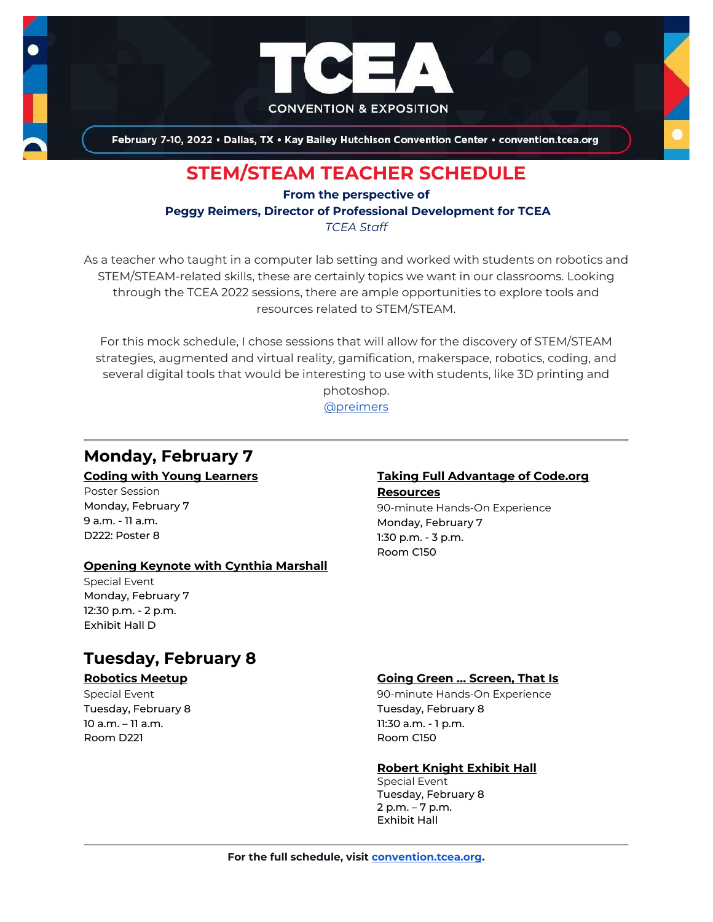

February 7-10, 2022 . Dallas, TX . Kay Bailey Hutchison Convention Center . convention.tcea.org

# **STEM/STEAM TEACHER SCHEDULE**

**From the perspective of Peggy Reimers, Director of Professional Development for TCEA** *TCEA Staff*

As a teacher who taught in a computer lab setting and worked with students on robotics and STEM/STEAM-related skills, these are certainly topics we want in our classrooms. Looking through the TCEA 2022 sessions, there are ample opportunities to explore tools and resources related to STEM/STEAM.

For this mock schedule, I chose sessions that will allow for the discovery of STEM/STEAM strategies, augmented and virtual reality, gamification, makerspace, robotics, coding, and several digital tools that would be interesting to use with students, like 3D printing and

> photoshop. [@preimers](https://twitter.com/preimers)

# **Monday, February 7**

#### **[Coding with Young Learners](https://register.tcea.org/2022/session_list.cfm?session_key=0233A97D-F04D-A206-2B64-D4C02CC40F00&session_date=Monday,%20Feb%2007,%202022)**

Poster Session Monday, February 7 9 a.m. - 11 a.m. D222: Poster 8

### **[Opening Keynote with Cynthia Marshall](https://register.tcea.org/2022/session_list.cfm?session_key=5F0745B8-F04D-A206-2B64-0D4631096E34&session_date=Monday,%20Feb%2007,%202022)**

Special Event Monday, February 7 12:30 p.m. - 2 p.m. Exhibit Hall D

## **Tuesday, February 8**

#### **[Robotics Meetup](https://register.tcea.org/2022/session_list.cfm?session_key=5EB2623E-F04D-A206-2B64-223294513137&session_date=Tuesday,%20Feb%2008,%202022)**

Special Event Tuesday, February 8 10 a.m. – 11 a.m. Room D221

### **[Taking Full Advantage of Code.org](https://register.tcea.org/2022/session_list.cfm?session_key=0241BECD-F04D-A206-2B64-EB60205BBF73&session_date=Monday,%20Feb%2007,%202022)**

**[Resources](https://register.tcea.org/2022/session_list.cfm?session_key=0241BECD-F04D-A206-2B64-EB60205BBF73&session_date=Monday,%20Feb%2007,%202022)** 90-minute Hands-On Experience Monday, February 7 1:30 p.m. - 3 p.m. Room C150

#### **[Going Green … Screen, That Is](https://register.tcea.org/2022/session_list.cfm?session_key=0238E616-F04D-A206-2B64-F1108022A499&session_date=Tuesday,%20Feb%2008,%202022)**

90-minute Hands-On Experience Tuesday, February 8 11:30 a.m. - 1 p.m. Room C150

#### **[Robert Knight Exhibit Hall](https://register.tcea.org/2022/session_list.cfm?session_key=61CDF249-F04D-A206-2B64-15D6559D2515&session_date=Tuesday,%20Feb%2008,%202022)**

Special Event Tuesday, February 8 2 p.m. – 7 p.m. Exhibit Hall